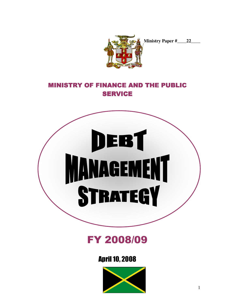

**Ministry Paper #\_\_\_\_22\_\_\_\_** 

# MINISTRY OF FINANCE AND THE PUBLIC **SERVICE**



FY 2008/09

April 10, 2008

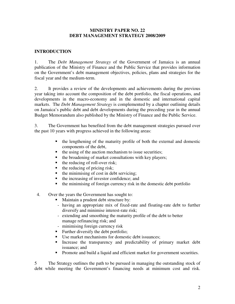#### **MINISTRY PAPER NO. 22 DEBT MANAGEMENT STRATEGY 2008/2009**

## **INTRODUCTION**

1. The *Debt Management Strategy* of the Government of Jamaica is an annual publication of the Ministry of Finance and the Public Service that provides information on the Government's debt management objectives, policies, plans and strategies for the fiscal year and the medium-term.

2. It provides a review of the developments and achievements during the previous year taking into account the composition of the debt portfolio, the fiscal operations, and developments in the macro-economy and in the domestic and international capital markets. The *Debt Management Strategy* is complemented by a chapter outlining details on Jamaica's public debt and debt developments during the preceding year in the annual Budget Memorandum also published by the Ministry of Finance and the Public Service.

3. The Government has benefited from the debt management strategies pursued over the past 10 years with progress achieved in the following areas:

- the lengthening of the maturity profile of both the external and domestic components of the debt,
- $\blacksquare$  the using of the auction mechanism to issue securities;
- $\blacksquare$  the broadening of market consultations with key players;
- $\blacksquare$  the reducing of roll-over risk;
- $\blacksquare$  the reducing of pricing risk;
- $\blacksquare$  the minimising of cost in debt servicing;
- $\blacksquare$  the increasing of investor confidence; and
- $\blacksquare$  the minimising of foreign currency risk in the domestic debt portfolio
- 4. Over the years the Government has sought to:
	- Maintain a prudent debt structure by:
	- having an appropriate mix of fixed-rate and floating-rate debt to further diversify and minimise interest-rate risk;
	- extending and smoothing the maturity profile of the debt to better manage refinancing risk; and
	- minimising foreign currency risk
	- Further diversify the debt portfolio;
	- Use market mechanisms for domestic debt issuances:
	- Increase the transparency and predictability of primary market debt issuance; and
	- **Promote and build a liquid and efficient market for government securities.**

5 The Strategy outlines the path to be pursued in managing the outstanding stock of debt while meeting the Government's financing needs at minimum cost and risk.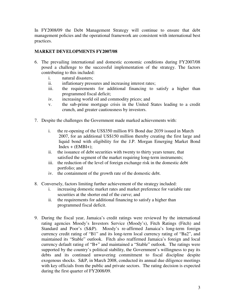In FY2008/09 the Debt Management Strategy will continue to ensure that debt management policies and the operational framework are consistent with international best practices.

# **MARKET DEVELOPMENTS FY2007/08**

- 6. The prevailing international and domestic economic conditions during FY2007/08 posed a challenge to the successful implementation of the strategy. The factors contributing to this included:
	- i. natural disasters;
	- ii. inflationary pressures and increasing interest rates;
	- iii. the requirements for additional financing to satisfy a higher than programmed fiscal deficit;
	- iv. increasing world oil and commodity prices; and
	- v. the sub-prime mortgage crisis in the United States leading to a credit crunch, and greater cautiousness by investors.
- 7. Despite the challenges the Government made marked achievements with:
	- i. the re-opening of the US\$350 million 8% Bond due 2039 issued in March 2007, for an additional US\$150 million thereby creating the first large and liquid bond with eligibility for the J.P. Morgan Emerging Market Bond  $Index + (EMBI+)$ ;
	- ii. the issuance of debt securities with twenty to thirty years tenure, that satisfied the segment of the market requiring long-term instruments;
	- iii. the reduction of the level of foreign exchange risk in the domestic debt portfolio; and
	- iv. the containment of the growth rate of the domestic debt.
- 8. Conversely, factors limiting further achievement of the strategy included:
	- i. increasing domestic market rates and market preference for variable rate securities at the shorter end of the curve; and
	- ii. the requirements for additional financing to satisfy a higher than programmed fiscal deficit.
- 9. During the fiscal year, Jamaica's credit ratings were reviewed by the international rating agencies Moody's Investors Service (Moody's), Fitch Ratings (Fitch) and Standard and Poor's (S&P). Moody's re-affirmed Jamaica's long-term foreign currency credit rating of "B1" and its long-term local currency rating of "Ba2", and maintained its "Stable" outlook. Fitch also reaffirmed Jamaica's foreign and local currency default rating of "B+" and maintained a "Stable" outlook. The ratings were supported by the country's political stability, the Government's willingness to pay its debts and its continued unwavering commitment to fiscal discipline despite exogenous shocks. S&P, in March 2008, conducted its annual due diligence meetings with key officials from the public and private sectors. The rating decision is expected during the first quarter of FY2008/09.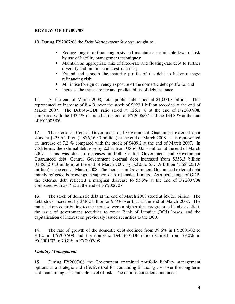## **REVIEW OF FY2007/08**

10. During FY2007/08 the *Debt Management Strategy* sought to:

- Reduce long-term financing costs and maintain a sustainable level of risk by use of liability management techniques;
- Maintain an appropriate mix of fixed-rate and floating-rate debt to further diversify and minimise interest-rate risk;
- Extend and smooth the maturity profile of the debt to better manage refinancing risk;
- Minimise foreign currency exposure of the domestic debt portfolio; and
- Increase the transparency and predictability of debt issuance.

11. At the end of March 2008, total public debt stood at \$1,000.7 billion. This represented an increase of 8.4 % over the stock of \$923.1 billion recorded at the end of March 2007. The Debt-to-GDP ratio stood at 126.1 % at the end of  $FY2007/08$ . compared with the 132.4% recorded at the end of FY2006/07 and the 134.8 % at the end of FY2005/06.

12. The stock of Central Government and Government Guaranteed external debt stood at \$438.6 billion (US\$6,169.3 million) at the end of March 2008. This represented an increase of 7.2 % compared with the stock of \$409.2 at the end of March 2007. In US\$ terms, the external debt rose by 2.2 % from US\$6,035.3 million at the end of March 2007. This was due to increases in both Central Government and Government Guaranteed debt. Central Government external debt increased from \$353.3 billion (US\$5,210.3 million) at the end of March 2007 by 5.3% to \$371.9 billion (US\$5,231.9 million) at the end of March 2008. The increase in Government Guaranteed external debt mainly reflected borrowings in support of Air Jamaica Limited. As a percentage of GDP, the external debt reflected a marginal decrease to 55.3% at the end of FY2007/08 compared with 58.7 % at the end of FY2006/07.

13. The stock of domestic debt at the end of March 2008 stood at \$562.1 billion. The debt stock increased by \$48.2 billion or 9.4% over that at the end of March 2007. The main factors contributing to the increase were a higher-than-programmed budget deficit, the issue of government securities to cover Bank of Jamaica (BOJ) losses, and the capitalisation of interest on previously issued securities to the BOJ.

14. The rate of growth of the domestic debt declined from 39.6% in FY2001/02 to 9.4% in FY2007/08 and the domestic Debt-to-GDP ratio declined from 79.0% in FY2001/02 to 70.8% in FY2007/08.

#### *Liability Management*

15. During FY2007/08 the Government examined portfolio liability management options as a strategic and effective tool for containing financing cost over the long-term and maintaining a sustainable level of risk. The options considered included: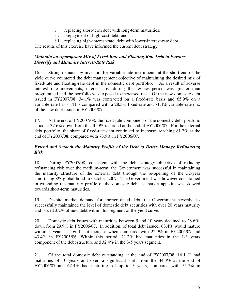- i. replacing short-term debt with long-term maturities;
- ii. prepayment of high-cost debt; and
- iii. replacing high-interest-rate debt with lower-interest-rate debt.

The results of this exercise have informed the current debt strategy.

#### *Maintain an Appropriate Mix of Fixed-Rate and Floating-Rate Debt to Further Diversify and Minimise Interest-Rate Risk*

16. Strong demand by investors for variable rate instruments at the short end of the yield curve countered the debt management objective of maintaining the desired mix of fixed-rate and floating-rate debt in the domestic debt portfolio. As a result of adverse interest rate movements, interest cost during the review period was greater than programmed and the portfolio was exposed to increased risk. Of the new domestic debt issued in FY2007/08, 34.1% was contracted on a fixed-rate basis and 65.9% on a variable-rate basis. This compared with a 28.3% fixed-rate and 71.4% variable-rate mix of the new debt issued in FY2006/07.

17. At the end of FY2007/08, the fixed-rate component of the domestic debt portfolio stood at 37.6% down from the 40.0% recorded at the end of FY2006/07. For the external debt portfolio, the share of fixed-rate debt continued to increase, reaching 81.2% at the end of FY2007/08, compared with 78.9% in FY2006/07.

## *Extend and Smooth the Maturity Profile of the Debt to Better Manage Refinancing Risk*

18. During FY2007/08, consistent with the debt strategy objective of reducing refinancing risk over the medium-term, the Government was successful in maintaining the maturity structure of the external debt through the re-opening of the 32-year amortising 8% global bond in October 2007. The Government was however constrained in extending the maturity profile of the domestic debt as market appetite was skewed towards short-term maturities.

19. Despite market demand for shorter dated debt, the Government nevertheless successfully maintained the level of domestic debt securities with over 20 years maturity and issued 3.2% of new debt within this segment of the yield curve.

20. Domestic debt issues with maturities between 5 and 10 years declined to 28.6%, down from 29.9% in FY2006/07. In addition, of total debt issued, 63.4% would mature within 5 years, a significant increase when compared with 22.9% in FY2006/07 and 43.4% in FY2005/06. Within this period, 21.2% had maturities in the 1-3 years component of the debt structure and 32.4% in the 3-5 years segment.

21. Of the total domestic debt outstanding at the end of FY2007/08, 16.1 % had maturities of 10 years and over, a significant shift from the 44.3% at the end of FY2006/07 and 62.4% had maturities of up to 5 years, compared with 55.7% in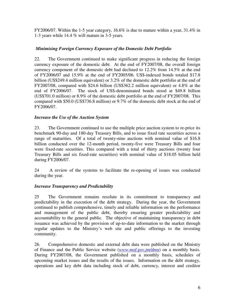FY2006/07. Within the 1-5 year category, 16.6% is due to mature within a year, 31.4% in 1-3 years while 14.4 % will mature in 3-5 years.

# *Minimising Foreign Currency Exposure of the Domestic Debt Portfolio*

22. The Government continued to make significant progress in reducing the foreign currency exposure of the domestic debt. At the end of FY2007/08, the overall foreign currency component of the domestic debt had declined to 12.2% from 14.5% at the end of FY2006/07 and 15.9% at the end of FY2005/06. US\$-indexed bonds totaled \$17.8 billion (US\$249.4 million equivalent) or 3.2% of the domestic debt portfolio at the end of FY2007/08, compared with \$24.6 billion (US\$362.2 million equivalent) or 4.8% at the end of FY2006/07. The stock of US\$-denominated bonds stood at \$49.8 billion (US\$701.0 million) or 8.9% of the domestic debt portfolio at the end of FY2007/08. This compared with \$50.0 (US\$736.8 million) or 9.7% of the domestic debt stock at the end of FY2006/07.

# *Increase the Use of the Auction System*

23. The Government continued to use the multiple price auction system to re-price its benchmark 90-day and 180-day Treasury Bills, and to issue fixed rate securities across a range of maturities. Of a total of twenty-nine auctions with nominal value of \$16.8 billion conducted over the 12-month period, twenty-five were Treasury Bills and four were fixed-rate securities. This compared with a total of thirty auctions (twenty four Treasury Bills and six fixed-rate securities) with nominal value of \$18.05 billion held during FY2006/07.

24 A review of the systems to facilitate the re-opening of issues was conducted during the year.

#### *Increase Transparency and Predictability*

25 The Government remains resolute in its commitment to transparency and predictability in the execution of the debt strategy. During the year, the Government continued to publish comprehensive, timely and reliable information on the performance and management of the public debt, thereby ensuring greater predictability and accountability to the general public. The objective of maintaining transparency in debt issuance was achieved by the provision of up-to-date information to the market through regular updates to the Ministry's web site and public offerings to the investing community.

26. Comprehensive domestic and external debt data were published on the Ministry of Finance and the Public Service website (*www.mof.gov.jm/dmu*) on a monthly basis. During FY2007/08, the Government published on a monthly basis, schedules of upcoming market issues and the results of the issues. Information on the debt strategy, operations and key debt data including stock of debt, currency, interest and creditor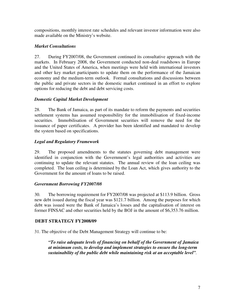compositions, monthly interest rate schedules and relevant investor information were also made available on the Ministry's website.

# *Market Consultations*

27. During FY2007/08, the Government continued its consultative approach with the markets. In February 2008, the Government conducted non-deal roadshows in Europe and the United States of America, when meetings were held with international investors and other key market participants to update them on the performance of the Jamaican economy and the medium-term outlook. Formal consultations and discussions between the public and private sectors in the domestic market continued in an effort to explore options for reducing the debt and debt servicing costs.

# *Domestic Capital Market Development*

28. The Bank of Jamaica, as part of its mandate to reform the payments and securities settlement systems has assumed responsibility for the immobilisation of fixed-income securities. Immobilisation of Government securities will remove the need for the issuance of paper certificates. A provider has been identified and mandated to develop the system based on specifications.

# *Legal and Regulatory Framework*

29. The proposed amendments to the statutes governing debt management were identified in conjunction with the Government's legal authorities and activities are continuing to update the relevant statutes. The annual review of the loan ceiling was completed. The loan ceiling is determined by the Loan Act, which gives authority to the Government for the amount of loans to be raised.

#### *Government Borrowing FY2007/08*

30. The borrowing requirement for FY2007/08 was projected at \$113.9 billion. Gross new debt issued during the fiscal year was \$121.7 billion. Among the purposes for which debt was issued were the Bank of Jamaica's losses and the capitalisation of interest on former FINSAC and other securities held by the BOJ in the amount of \$6,353.76 million.

#### **DEBT STRATEGY FY2008/09**

31. The objective of the Debt Management Strategy will continue to be:

*"To raise adequate levels of financing on behalf of the Government of Jamaica at minimum costs, to develop and implement strategies to ensure the long-term sustainability of the public debt while maintaining risk at an acceptable level".*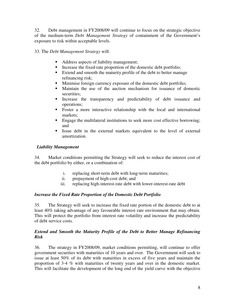32. Debt management in FY2008/09 will continue to focus on the strategic objective of the medium-term *Debt Management Strategy* of containment of the Government's exposure to risk within acceptable levels.

33. The *Debt Management Strategy* will:

- Address aspects of liability management;
- Increase the fixed-rate proportion of the domestic debt portfolio;
- Extend and smooth the maturity profile of the debt to better manage refinancing risk;<br>Minimise foreign
- Minimise foreign currency exposure of the domestic debt portfolio;
- Maintain the use of the auction mechanism for issuance of domestic securities;
- Increase the transparency and predictability of debt issuance and operations;
- Foster a more interactive relationship with the local and international markets;
- **Engage the multilateral institutions to seek more cost effective borrowing;** and
- Issue debt in the external markets equivalent to the level of external amortization.

# *Liability Management*

34. Market conditions permitting the Strategy will seek to reduce the interest cost of the debt portfolio by either, or a combination of:

- i. replacing short-term debt with long-term maturities;
- ii. prepayment of high-cost debt; and
- iii. replacing high-interest-rate debt with lower-interest-rate debt

# *Increase the Fixed Rate Proportion of the Domestic Debt Portfolio*

35. The Strategy will seek to increase the fixed rate portion of the domestic debt to at least 40% taking advantage of any favourable interest rate environment that may obtain. This will protect the portfolio from interest rate volatility and increase the predictability of debt service costs.

#### *Extend and Smooth the Maturity Profile of the Debt to Better Manage Refinancing Risk*

36. The strategy in FY2008/09, market conditions permitting, will continue to offer government securities with maturities of 10 years and over. The Government will seek to issue at least 50% of its debt with maturities in excess of five years and maintain the proportion of 3-4 % with maturities of twenty years and over in the domestic market. This will facilitate the development of the long end of the yield curve with the objective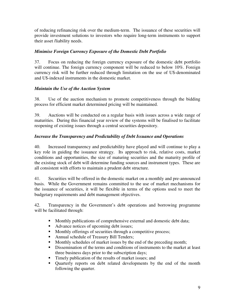of reducing refinancing risk over the medium-term. The issuance of these securities will provide investment solutions to investors who require long-term instruments to support their asset /liability needs.

# *Minimise Foreign Currency Exposure of the Domestic Debt Portfolio*

37. Focus on reducing the foreign currency exposure of the domestic debt portfolio will continue. The foreign currency component will be reduced to below 10%. Foreign currency risk will be further reduced through limitation on the use of U\$-denominated and U\$-indexed instruments in the domestic market.

# *Maintain the Use of the Auction System*

38. Use of the auction mechanism to promote competitiveness through the bidding process for efficient market determined pricing will be maintained.

39. Auctions will be conducted on a regular basis with issues across a wide range of maturities. During this financial year review of the systems will be finalised to facilitate reopening of existing issues through a central securities depository.

# *Increase the Transparency and Predictability of Debt Issuance and Operations*

40. Increased transparency and predictability have played and will continue to play a key role in guiding the issuance strategy. Its approach to risk, relative costs, market conditions and opportunities, the size of maturing securities and the maturity profile of the existing stock of debt will determine funding sources and instrument types. These are all consistent with efforts to maintain a prudent debt structure.

41. Securities will be offered in the domestic market on a monthly and pre-announced basis. While the Government remains committed to the use of market mechanisms for the issuance of securities, it will be flexible in terms of the options used to meet the budgetary requirements and debt management objectives.

42. Transparency in the Government's debt operations and borrowing programme will be facilitated through:

- **Monthly publications of comprehensive external and domestic debt data;**
- Advance notices of upcoming debt issues;<br>• Monthly offerings of securities through a c
- Monthly offerings of securities through a competitive process;
- Annual schedule of Treasury Bill Tenders;
- Monthly schedules of market issues by the end of the preceding month;
- Dissemination of the terms and conditions of instruments to the market at least three business days prior to the subscription days;
- Timely publication of the results of market issues; and
- Quarterly reports on debt related developments by the end of the month following the quarter.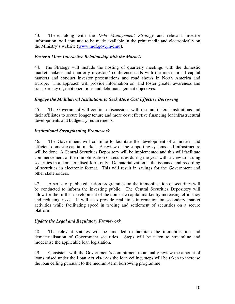43. These, along with the *Debt Management Strategy* and relevant investor information, will continue to be made available in the print media and electronically on the Ministry's website (www.mof.gov.jm/dmu).

## *Foster a More Interactive Relationship with the Markets*

44. The Strategy will include the hosting of quarterly meetings with the domestic market makers and quarterly investors' conference calls with the international capital markets and conduct investor presentations and road shows in North America and Europe. This approach will provide information on, and foster greater awareness and transparency of, debt operations and debt management objectives.

# *Engage the Multilateral Institutions to Seek More Cost Effective Borrowing*

45. The Government will continue discussions with the multilateral institutions and their affiliates to secure longer tenure and more cost effective financing for infrastructural developments and budgetary requirements.

# *Institutional Strengthening Framework*

46. The Government will continue to facilitate the development of a modern and efficient domestic capital market. A review of the supporting systems and infrastructure will be done. A Central Securities Depository will be implemented and this will facilitate commencement of the immobilisation of securities during the year with a view to issuing securities in a dematerialised form only. Dematerialization is the issuance and recording of securities in electronic format. This will result in savings for the Government and other stakeholders.

47. A series of public education programmes on the immobilisation of securities will be conducted to inform the investing public. The Central Securities Depository will allow for the further development of the domestic capital market by increasing efficiency and reducing risks. It will also provide real time information on secondary market activities while facilitating speed in trading and settlement of securities on a secure platform.

#### *Update the Legal and Regulatory Framework*

48. The relevant statutes will be amended to facilitate the immobilisation and dematerialisation of Government securities. Steps will be taken to streamline and modernise the applicable loan legislation.

49. Consistent with the Government's commitment to annually review the amount of loans raised under the Loan Act vis-à-vis the loan ceiling, steps will be taken to increase the loan ceiling pursuant to the medium-term borrowing programme.